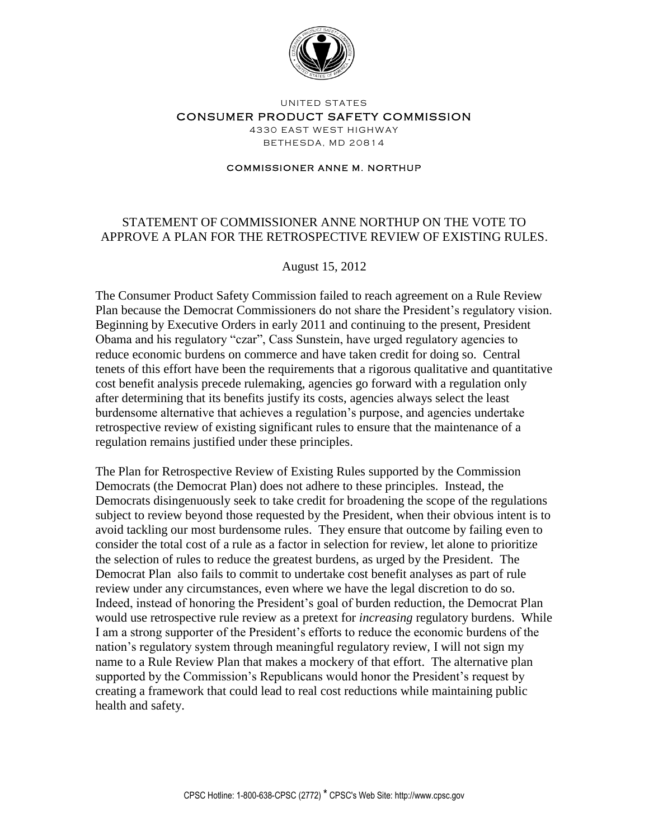

### UNITED STATES CONSUMER PRODUCT SAFETY COMMISSION 4330 EAST WEST HIGHWAY BETHESDA, MD 20814

#### **COMMISSIONER ANNE M. NORTHUP**

# STATEMENT OF COMMISSIONER ANNE NORTHUP ON THE VOTE TO APPROVE A PLAN FOR THE RETROSPECTIVE REVIEW OF EXISTING RULES.

## August 15, 2012

The Consumer Product Safety Commission failed to reach agreement on a Rule Review Plan because the Democrat Commissioners do not share the President's regulatory vision. Beginning by Executive Orders in early 2011 and continuing to the present, President Obama and his regulatory "czar", Cass Sunstein, have urged regulatory agencies to reduce economic burdens on commerce and have taken credit for doing so. Central tenets of this effort have been the requirements that a rigorous qualitative and quantitative cost benefit analysis precede rulemaking, agencies go forward with a regulation only after determining that its benefits justify its costs, agencies always select the least burdensome alternative that achieves a regulation's purpose, and agencies undertake retrospective review of existing significant rules to ensure that the maintenance of a regulation remains justified under these principles.

The Plan for Retrospective Review of Existing Rules supported by the Commission Democrats (the Democrat Plan) does not adhere to these principles. Instead, the Democrats disingenuously seek to take credit for broadening the scope of the regulations subject to review beyond those requested by the President, when their obvious intent is to avoid tackling our most burdensome rules. They ensure that outcome by failing even to consider the total cost of a rule as a factor in selection for review, let alone to prioritize the selection of rules to reduce the greatest burdens, as urged by the President. The Democrat Plan also fails to commit to undertake cost benefit analyses as part of rule review under any circumstances, even where we have the legal discretion to do so. Indeed, instead of honoring the President's goal of burden reduction, the Democrat Plan would use retrospective rule review as a pretext for *increasing* regulatory burdens. While I am a strong supporter of the President's efforts to reduce the economic burdens of the nation's regulatory system through meaningful regulatory review, I will not sign my name to a Rule Review Plan that makes a mockery of that effort. The alternative plan supported by the Commission's Republicans would honor the President's request by creating a framework that could lead to real cost reductions while maintaining public health and safety.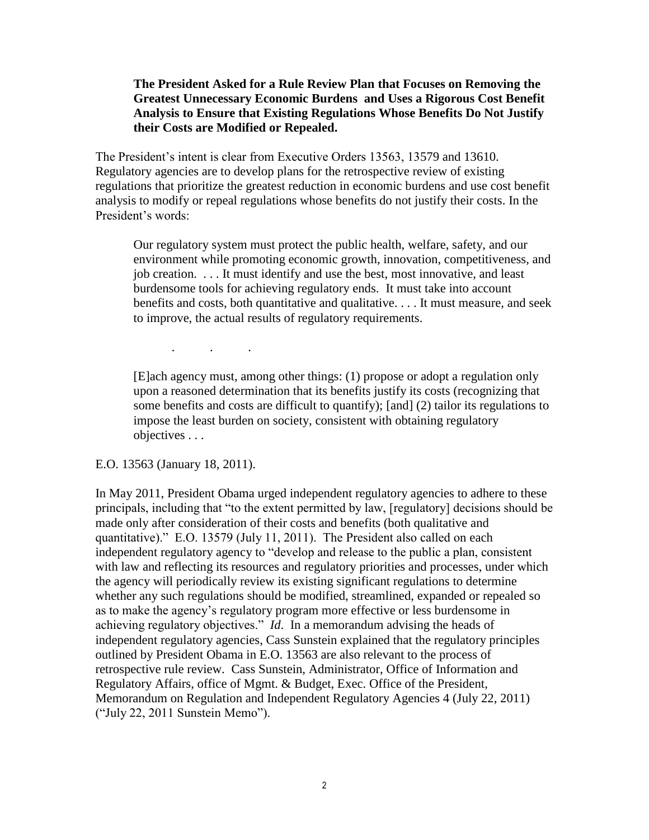## **The President Asked for a Rule Review Plan that Focuses on Removing the Greatest Unnecessary Economic Burdens and Uses a Rigorous Cost Benefit Analysis to Ensure that Existing Regulations Whose Benefits Do Not Justify their Costs are Modified or Repealed.**

The President's intent is clear from Executive Orders 13563, 13579 and 13610. Regulatory agencies are to develop plans for the retrospective review of existing regulations that prioritize the greatest reduction in economic burdens and use cost benefit analysis to modify or repeal regulations whose benefits do not justify their costs. In the President's words:

Our regulatory system must protect the public health, welfare, safety, and our environment while promoting economic growth, innovation, competitiveness, and job creation. . . . It must identify and use the best, most innovative, and least burdensome tools for achieving regulatory ends. It must take into account benefits and costs, both quantitative and qualitative. . . . It must measure, and seek to improve, the actual results of regulatory requirements.

[E]ach agency must, among other things: (1) propose or adopt a regulation only upon a reasoned determination that its benefits justify its costs (recognizing that some benefits and costs are difficult to quantify); [and] (2) tailor its regulations to impose the least burden on society, consistent with obtaining regulatory objectives . . .

## E.O. 13563 (January 18, 2011).

. . .

In May 2011, President Obama urged independent regulatory agencies to adhere to these principals, including that "to the extent permitted by law, [regulatory] decisions should be made only after consideration of their costs and benefits (both qualitative and quantitative)." E.O. 13579 (July 11, 2011). The President also called on each independent regulatory agency to "develop and release to the public a plan, consistent with law and reflecting its resources and regulatory priorities and processes, under which the agency will periodically review its existing significant regulations to determine whether any such regulations should be modified, streamlined, expanded or repealed so as to make the agency's regulatory program more effective or less burdensome in achieving regulatory objectives." *Id*. In a memorandum advising the heads of independent regulatory agencies, Cass Sunstein explained that the regulatory principles outlined by President Obama in E.O. 13563 are also relevant to the process of retrospective rule review. Cass Sunstein, Administrator, Office of Information and Regulatory Affairs, office of Mgmt. & Budget, Exec. Office of the President, Memorandum on Regulation and Independent Regulatory Agencies 4 (July 22, 2011) ("July 22, 2011 Sunstein Memo").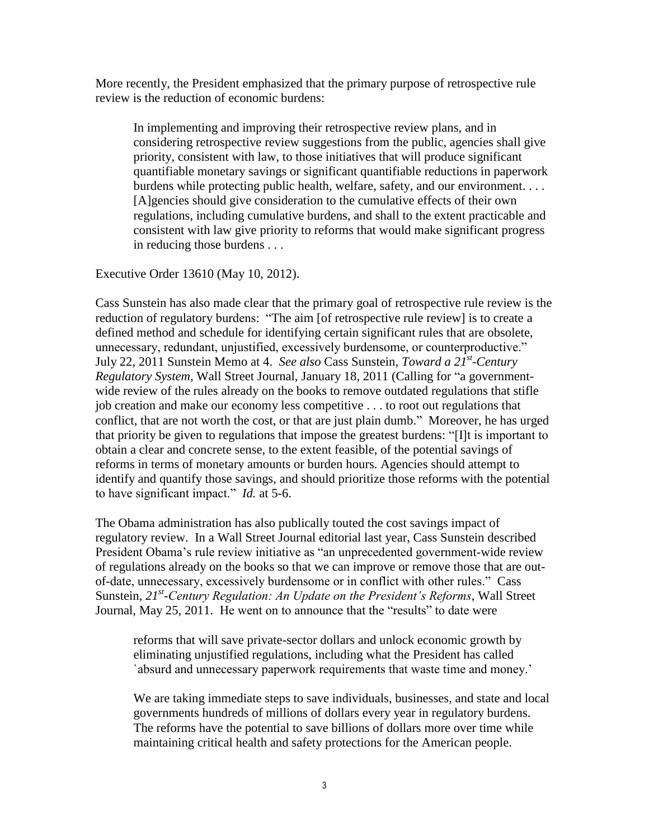More recently, the President emphasized that the primary purpose of retrospective rule review is the reduction of economic burdens:

In implementing and improving their retrospective review plans, and in considering retrospective review suggestions from the public, agencies shall give priority, consistent with law, to those initiatives that will produce significant quantifiable monetary savings or significant quantifiable reductions in paperwork burdens while protecting public health, welfare, safety, and our environment. . . . [A]gencies should give consideration to the cumulative effects of their own regulations, including cumulative burdens, and shall to the extent practicable and consistent with law give priority to reforms that would make significant progress in reducing those burdens . . .

Executive Order 13610 (May 10, 2012).

Cass Sunstein has also made clear that the primary goal of retrospective rule review is the reduction of regulatory burdens: "The aim [of retrospective rule review] is to create a defined method and schedule for identifying certain significant rules that are obsolete, unnecessary, redundant, unjustified, excessively burdensome, or counterproductive." July 22, 2011 Sunstein Memo at 4. *See also* Cass Sunstein, *Toward a 21st -Century Regulatory System,* Wall Street Journal, January 18, 2011 (Calling for "a governmentwide review of the rules already on the books to remove outdated regulations that stifle job creation and make our economy less competitive . . . to root out regulations that conflict, that are not worth the cost, or that are just plain dumb." Moreover, he has urged that priority be given to regulations that impose the greatest burdens: "[I]t is important to obtain a clear and concrete sense, to the extent feasible, of the potential savings of reforms in terms of monetary amounts or burden hours. Agencies should attempt to identify and quantify those savings, and should prioritize those reforms with the potential to have significant impact." *Id.* at 5-6.

The Obama administration has also publically touted the cost savings impact of regulatory review. In a Wall Street Journal editorial last year, Cass Sunstein described President Obama's rule review initiative as "an unprecedented government-wide review of regulations already on the books so that we can improve or remove those that are outof-date, unnecessary, excessively burdensome or in conflict with other rules." Cass Sunstein, *21st -Century Regulation: An Update on the President's Reforms*, Wall Street Journal, May 25, 2011. He went on to announce that the "results" to date were

reforms that will save private-sector dollars and unlock economic growth by eliminating unjustified regulations, including what the President has called `absurd and unnecessary paperwork requirements that waste time and money.'

We are taking immediate steps to save individuals, businesses, and state and local governments hundreds of millions of dollars every year in regulatory burdens. The reforms have the potential to save billions of dollars more over time while maintaining critical health and safety protections for the American people.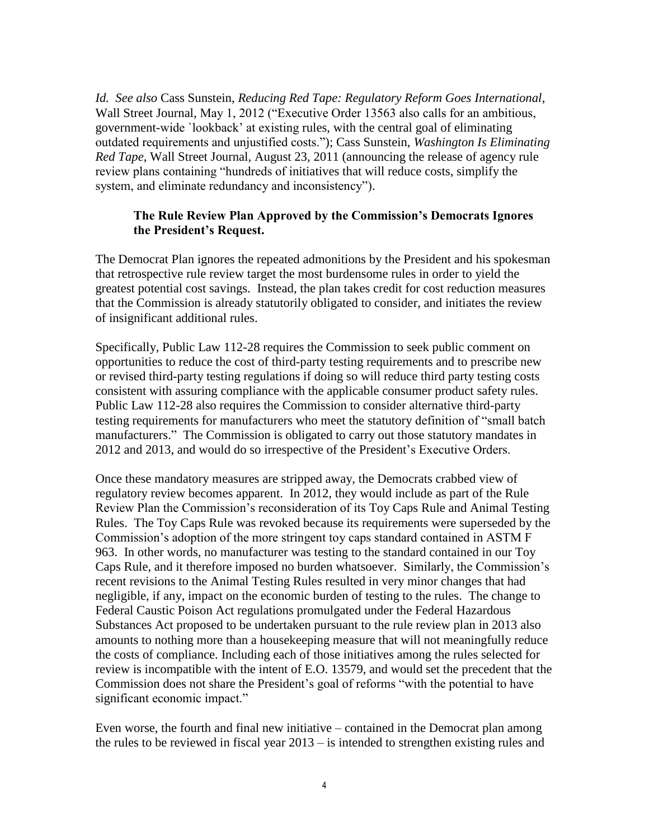*Id. See also* Cass Sunstein, *Reducing Red Tape: Regulatory Reform Goes International*, Wall Street Journal, May 1, 2012 ("Executive Order 13563 also calls for an ambitious, government-wide `lookback' at existing rules, with the central goal of eliminating outdated requirements and unjustified costs."); Cass Sunstein, *Washington Is Eliminating Red Tape*, Wall Street Journal, August 23, 2011 (announcing the release of agency rule review plans containing "hundreds of initiatives that will reduce costs, simplify the system, and eliminate redundancy and inconsistency").

# **The Rule Review Plan Approved by the Commission's Democrats Ignores the President's Request.**

The Democrat Plan ignores the repeated admonitions by the President and his spokesman that retrospective rule review target the most burdensome rules in order to yield the greatest potential cost savings. Instead, the plan takes credit for cost reduction measures that the Commission is already statutorily obligated to consider, and initiates the review of insignificant additional rules.

Specifically, Public Law 112-28 requires the Commission to seek public comment on opportunities to reduce the cost of third-party testing requirements and to prescribe new or revised third-party testing regulations if doing so will reduce third party testing costs consistent with assuring compliance with the applicable consumer product safety rules. Public Law 112-28 also requires the Commission to consider alternative third-party testing requirements for manufacturers who meet the statutory definition of "small batch manufacturers." The Commission is obligated to carry out those statutory mandates in 2012 and 2013, and would do so irrespective of the President's Executive Orders.

Once these mandatory measures are stripped away, the Democrats crabbed view of regulatory review becomes apparent. In 2012, they would include as part of the Rule Review Plan the Commission's reconsideration of its Toy Caps Rule and Animal Testing Rules. The Toy Caps Rule was revoked because its requirements were superseded by the Commission's adoption of the more stringent toy caps standard contained in ASTM F 963. In other words, no manufacturer was testing to the standard contained in our Toy Caps Rule, and it therefore imposed no burden whatsoever. Similarly, the Commission's recent revisions to the Animal Testing Rules resulted in very minor changes that had negligible, if any, impact on the economic burden of testing to the rules. The change to Federal Caustic Poison Act regulations promulgated under the Federal Hazardous Substances Act proposed to be undertaken pursuant to the rule review plan in 2013 also amounts to nothing more than a housekeeping measure that will not meaningfully reduce the costs of compliance. Including each of those initiatives among the rules selected for review is incompatible with the intent of E.O. 13579, and would set the precedent that the Commission does not share the President's goal of reforms "with the potential to have significant economic impact."

Even worse, the fourth and final new initiative – contained in the Democrat plan among the rules to be reviewed in fiscal year 2013 – is intended to strengthen existing rules and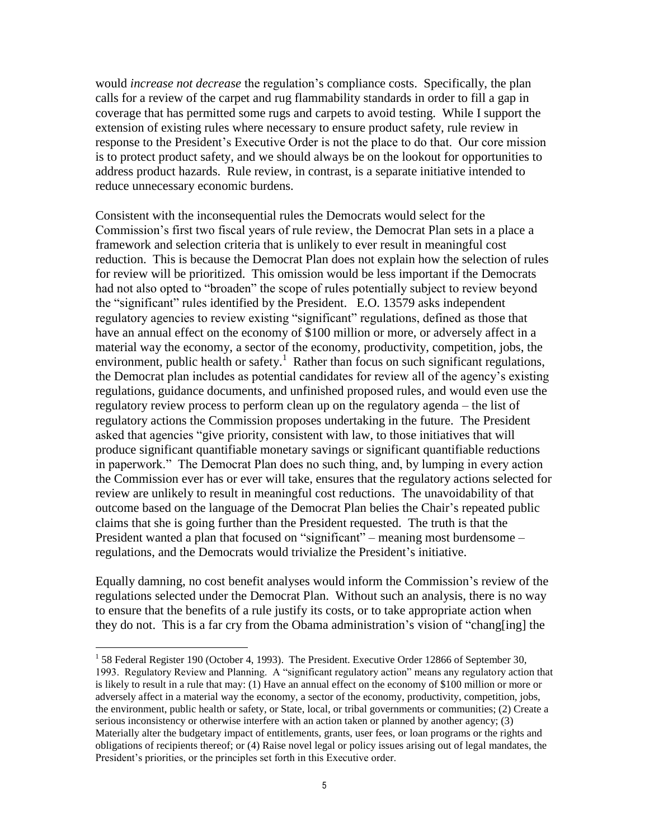would *increase not decrease* the regulation's compliance costs. Specifically, the plan calls for a review of the carpet and rug flammability standards in order to fill a gap in coverage that has permitted some rugs and carpets to avoid testing. While I support the extension of existing rules where necessary to ensure product safety, rule review in response to the President's Executive Order is not the place to do that. Our core mission is to protect product safety, and we should always be on the lookout for opportunities to address product hazards. Rule review, in contrast, is a separate initiative intended to reduce unnecessary economic burdens.

Consistent with the inconsequential rules the Democrats would select for the Commission's first two fiscal years of rule review, the Democrat Plan sets in a place a framework and selection criteria that is unlikely to ever result in meaningful cost reduction. This is because the Democrat Plan does not explain how the selection of rules for review will be prioritized. This omission would be less important if the Democrats had not also opted to "broaden" the scope of rules potentially subject to review beyond the "significant" rules identified by the President. E.O. 13579 asks independent regulatory agencies to review existing "significant" regulations, defined as those that have an annual effect on the economy of \$100 million or more, or adversely affect in a material way the economy, a sector of the economy, productivity, competition, jobs, the environment, public health or safety.<sup>1</sup> Rather than focus on such significant regulations, the Democrat plan includes as potential candidates for review all of the agency's existing regulations, guidance documents, and unfinished proposed rules, and would even use the regulatory review process to perform clean up on the regulatory agenda – the list of regulatory actions the Commission proposes undertaking in the future. The President asked that agencies "give priority, consistent with law, to those initiatives that will produce significant quantifiable monetary savings or significant quantifiable reductions in paperwork." The Democrat Plan does no such thing, and, by lumping in every action the Commission ever has or ever will take, ensures that the regulatory actions selected for review are unlikely to result in meaningful cost reductions. The unavoidability of that outcome based on the language of the Democrat Plan belies the Chair's repeated public claims that she is going further than the President requested. The truth is that the President wanted a plan that focused on "significant" – meaning most burdensome – regulations, and the Democrats would trivialize the President's initiative.

Equally damning, no cost benefit analyses would inform the Commission's review of the regulations selected under the Democrat Plan. Without such an analysis, there is no way to ensure that the benefits of a rule justify its costs, or to take appropriate action when they do not. This is a far cry from the Obama administration's vision of "chang[ing] the

 $\overline{a}$ 

<sup>&</sup>lt;sup>1</sup> 58 Federal Register 190 (October 4, 1993). The President. Executive Order 12866 of September 30, 1993. Regulatory Review and Planning. A "significant regulatory action" means any regulatory action that is likely to result in a rule that may: (1) Have an annual effect on the economy of \$100 million or more or adversely affect in a material way the economy, a sector of the economy, productivity, competition, jobs, the environment, public health or safety, or State, local, or tribal governments or communities; (2) Create a serious inconsistency or otherwise interfere with an action taken or planned by another agency; (3) Materially alter the budgetary impact of entitlements, grants, user fees, or loan programs or the rights and obligations of recipients thereof; or (4) Raise novel legal or policy issues arising out of legal mandates, the President's priorities, or the principles set forth in this Executive order.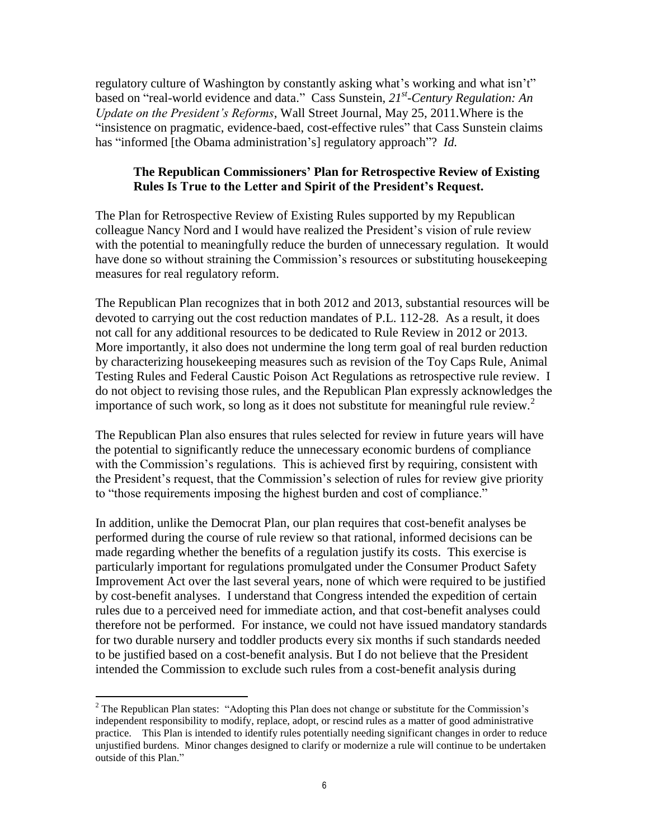regulatory culture of Washington by constantly asking what's working and what isn't" based on "real-world evidence and data." Cass Sunstein, *21st -Century Regulation: An Update on the President's Reforms*, Wall Street Journal, May 25, 2011.Where is the "insistence on pragmatic, evidence-baed, cost-effective rules" that Cass Sunstein claims has "informed [the Obama administration's] regulatory approach"? *Id.*

# **The Republican Commissioners' Plan for Retrospective Review of Existing Rules Is True to the Letter and Spirit of the President's Request.**

The Plan for Retrospective Review of Existing Rules supported by my Republican colleague Nancy Nord and I would have realized the President's vision of rule review with the potential to meaningfully reduce the burden of unnecessary regulation. It would have done so without straining the Commission's resources or substituting housekeeping measures for real regulatory reform.

The Republican Plan recognizes that in both 2012 and 2013, substantial resources will be devoted to carrying out the cost reduction mandates of P.L. 112-28. As a result, it does not call for any additional resources to be dedicated to Rule Review in 2012 or 2013. More importantly, it also does not undermine the long term goal of real burden reduction by characterizing housekeeping measures such as revision of the Toy Caps Rule, Animal Testing Rules and Federal Caustic Poison Act Regulations as retrospective rule review. I do not object to revising those rules, and the Republican Plan expressly acknowledges the importance of such work, so long as it does not substitute for meaningful rule review.<sup>2</sup>

The Republican Plan also ensures that rules selected for review in future years will have the potential to significantly reduce the unnecessary economic burdens of compliance with the Commission's regulations. This is achieved first by requiring, consistent with the President's request, that the Commission's selection of rules for review give priority to "those requirements imposing the highest burden and cost of compliance."

In addition, unlike the Democrat Plan, our plan requires that cost-benefit analyses be performed during the course of rule review so that rational, informed decisions can be made regarding whether the benefits of a regulation justify its costs. This exercise is particularly important for regulations promulgated under the Consumer Product Safety Improvement Act over the last several years, none of which were required to be justified by cost-benefit analyses. I understand that Congress intended the expedition of certain rules due to a perceived need for immediate action, and that cost-benefit analyses could therefore not be performed. For instance, we could not have issued mandatory standards for two durable nursery and toddler products every six months if such standards needed to be justified based on a cost-benefit analysis. But I do not believe that the President intended the Commission to exclude such rules from a cost-benefit analysis during

 $\overline{a}$ 

 $2^2$  The Republican Plan states: "Adopting this Plan does not change or substitute for the Commission's independent responsibility to modify, replace, adopt, or rescind rules as a matter of good administrative practice. This Plan is intended to identify rules potentially needing significant changes in order to reduce unjustified burdens. Minor changes designed to clarify or modernize a rule will continue to be undertaken outside of this Plan."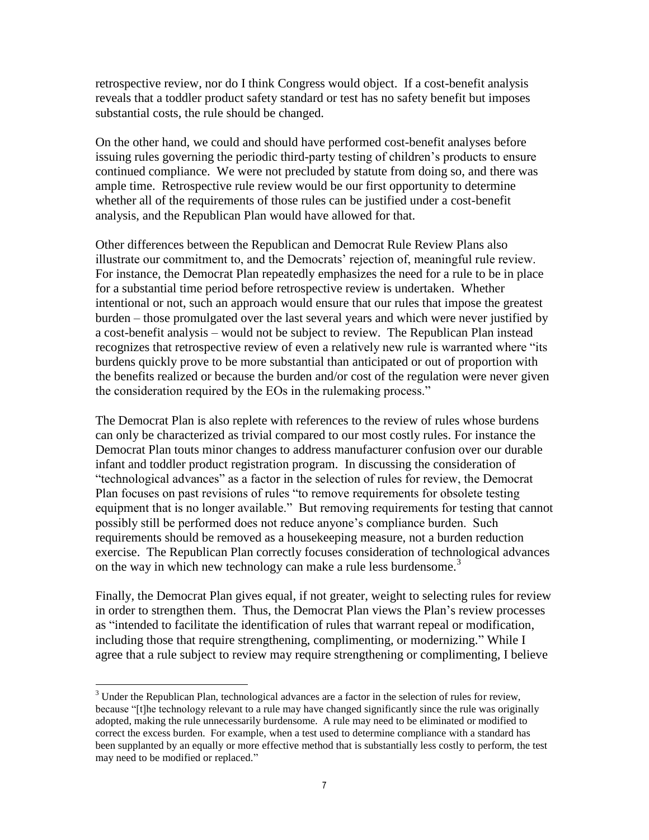retrospective review, nor do I think Congress would object. If a cost-benefit analysis reveals that a toddler product safety standard or test has no safety benefit but imposes substantial costs, the rule should be changed.

On the other hand, we could and should have performed cost-benefit analyses before issuing rules governing the periodic third-party testing of children's products to ensure continued compliance. We were not precluded by statute from doing so, and there was ample time. Retrospective rule review would be our first opportunity to determine whether all of the requirements of those rules can be justified under a cost-benefit analysis, and the Republican Plan would have allowed for that.

Other differences between the Republican and Democrat Rule Review Plans also illustrate our commitment to, and the Democrats' rejection of, meaningful rule review. For instance, the Democrat Plan repeatedly emphasizes the need for a rule to be in place for a substantial time period before retrospective review is undertaken. Whether intentional or not, such an approach would ensure that our rules that impose the greatest burden – those promulgated over the last several years and which were never justified by a cost-benefit analysis – would not be subject to review. The Republican Plan instead recognizes that retrospective review of even a relatively new rule is warranted where "its burdens quickly prove to be more substantial than anticipated or out of proportion with the benefits realized or because the burden and/or cost of the regulation were never given the consideration required by the EOs in the rulemaking process."

The Democrat Plan is also replete with references to the review of rules whose burdens can only be characterized as trivial compared to our most costly rules. For instance the Democrat Plan touts minor changes to address manufacturer confusion over our durable infant and toddler product registration program. In discussing the consideration of "technological advances" as a factor in the selection of rules for review, the Democrat Plan focuses on past revisions of rules "to remove requirements for obsolete testing equipment that is no longer available." But removing requirements for testing that cannot possibly still be performed does not reduce anyone's compliance burden. Such requirements should be removed as a housekeeping measure, not a burden reduction exercise. The Republican Plan correctly focuses consideration of technological advances on the way in which new technology can make a rule less burdensome.<sup>3</sup>

Finally, the Democrat Plan gives equal, if not greater, weight to selecting rules for review in order to strengthen them. Thus, the Democrat Plan views the Plan's review processes as "intended to facilitate the identification of rules that warrant repeal or modification, including those that require strengthening, complimenting, or modernizing." While I agree that a rule subject to review may require strengthening or complimenting, I believe

 $\overline{a}$ 

 $3$  Under the Republican Plan, technological advances are a factor in the selection of rules for review, because "[t]he technology relevant to a rule may have changed significantly since the rule was originally adopted, making the rule unnecessarily burdensome. A rule may need to be eliminated or modified to correct the excess burden. For example, when a test used to determine compliance with a standard has been supplanted by an equally or more effective method that is substantially less costly to perform, the test may need to be modified or replaced."